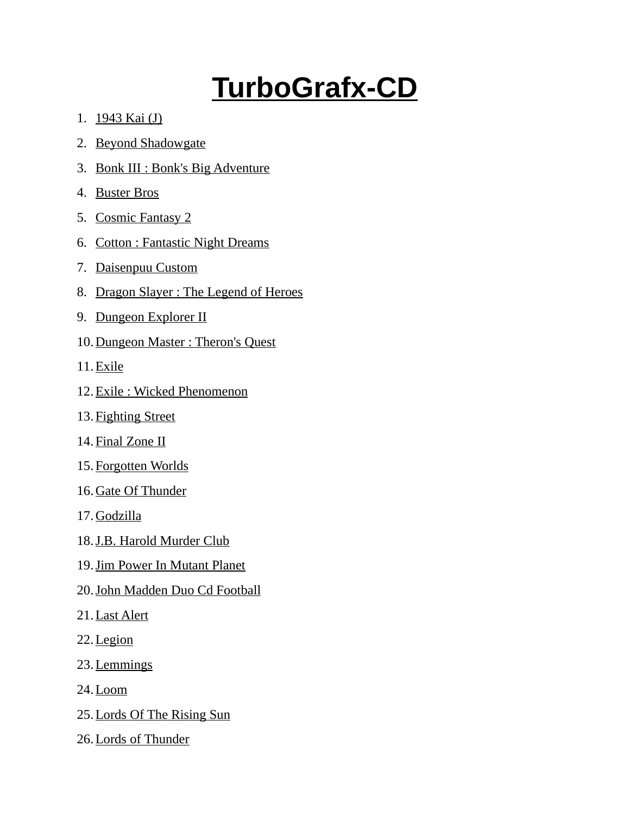## **TurboGrafx-CD**

- 1. 1943 Kai (J)
- 2. Beyond Shadowgate
- 3. Bonk III : Bonk's Big Adventure
- 4. Buster Bros
- 5. Cosmic Fantasy 2
- 6. Cotton : Fantastic Night Dreams
- 7. Daisenpuu Custom
- 8. Dragon Slayer : The Legend of Heroes
- 9. Dungeon Explorer II
- 10. Dungeon Master : Theron's Quest
- 11. Exile
- 12. Exile : Wicked Phenomenon
- 13. Fighting Street
- 14. Final Zone II
- 15. Forgotten Worlds
- 16. Gate Of Thunder
- 17. Godzilla
- 18. J.B. Harold Murder Club
- 19. Jim Power In Mutant Planet
- 20. John Madden Duo Cd Football
- 21. Last Alert
- 22. Legion
- 23. Lemmings
- 24. Loom
- 25. Lords Of The Rising Sun
- 26. Lords of Thunder